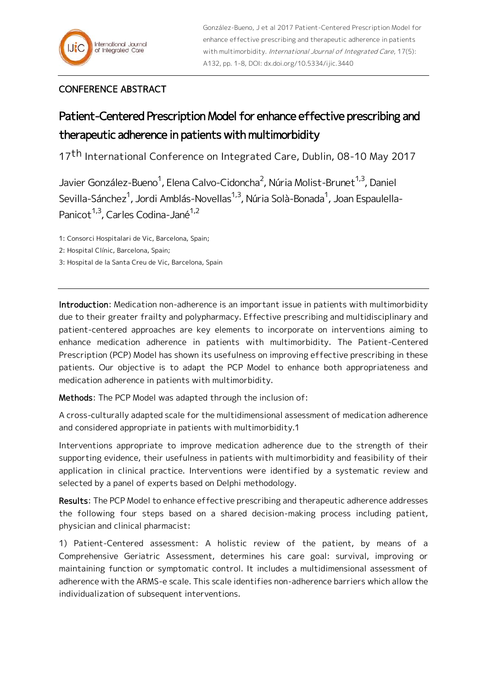González-Bueno, J et al 2017 Patient-Centered Prescription Model for enhance effective prescribing and therapeutic adherence in patients with multimorbidity. International Journal of Integrated Care, 17(5): A132, pp. 1-8, DOI: dx.doi.org/10.5334/ijic.3440

## CONFERENCE ABSTRACT

## Patient-Centered Prescription Model for enhance effective prescribing and therapeutic adherence in patients with multimorbidity

17<sup>th</sup> International Conference on Integrated Care, Dublin, 08-10 May 2017

Javier González-Bueno<sup>1</sup>, Elena Calvo-Cidoncha<sup>2</sup>, Núria Molist-Brunet<sup>1,3</sup>, Daniel Sevilla-Sánchez<sup>1</sup>, Jordi Amblás-Novellas<sup>1,3</sup>, Núria Solà-Bonada<sup>1</sup>, Joan Espaulella-Panicot<sup>1,3</sup>, Carles Codina-Jané<sup>1,2</sup>

1: Consorci Hospitalari de Vic, Barcelona, Spain;

2: Hospital Clínic, Barcelona, Spain;

3: Hospital de la Santa Creu de Vic, Barcelona, Spain

Introduction: Medication non-adherence is an important issue in patients with multimorbidity due to their greater frailty and polypharmacy. Effective prescribing and multidisciplinary and patient-centered approaches are key elements to incorporate on interventions aiming to enhance medication adherence in patients with multimorbidity. The Patient-Centered Prescription (PCP) Model has shown its usefulness on improving effective prescribing in these patients. Our objective is to adapt the PCP Model to enhance both appropriateness and medication adherence in patients with multimorbidity.

Methods: The PCP Model was adapted through the inclusion of:

A cross-culturally adapted scale for the multidimensional assessment of medication adherence and considered appropriate in patients with multimorbidity.1

Interventions appropriate to improve medication adherence due to the strength of their supporting evidence, their usefulness in patients with multimorbidity and feasibility of their application in clinical practice. Interventions were identified by a systematic review and selected by a panel of experts based on Delphi methodology.

Results: The PCP Model to enhance effective prescribing and therapeutic adherence addresses the following four steps based on a shared decision-making process including patient, physician and clinical pharmacist:

1) Patient-Centered assessment: A holistic review of the patient, by means of a Comprehensive Geriatric Assessment, determines his care goal: survival, improving or maintaining function or symptomatic control. It includes a multidimensional assessment of adherence with the ARMS-e scale. This scale identifies non-adherence barriers which allow the individualization of subsequent interventions.